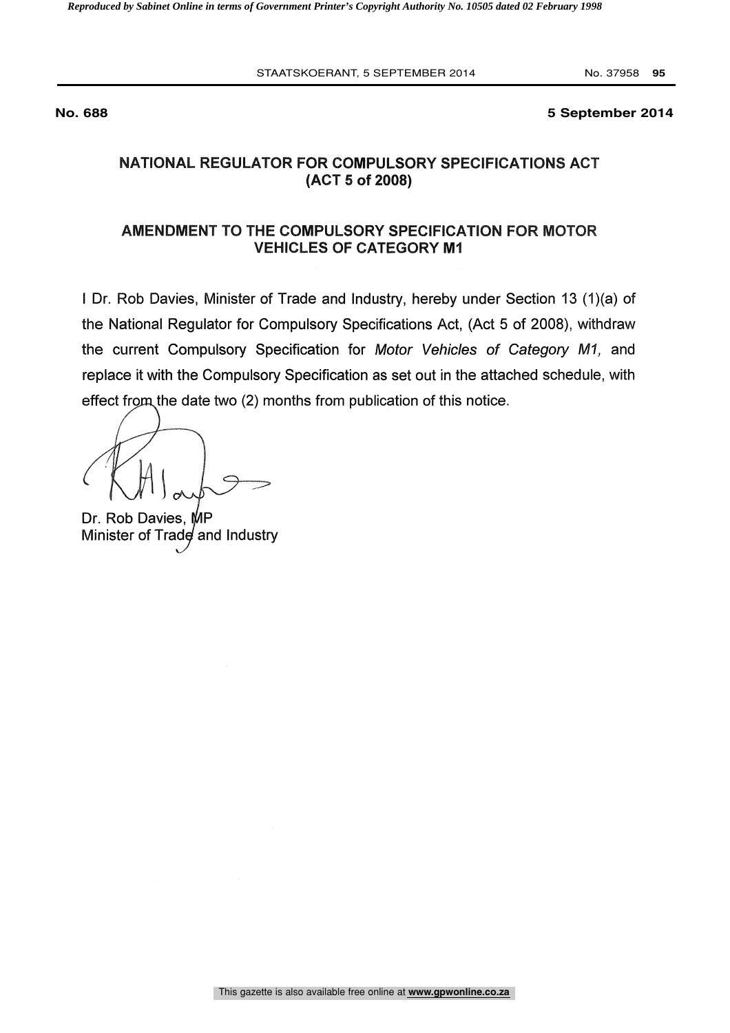#### **No. 688 5 September 2014**

# NATIONAL REGULATOR FOR COMPULSORY SPECIFICATIONS ACT (ACT 5 of 2008)

# AMENDMENT TO THE COMPULSORY SPECIFICATION FOR MOTOR **VEHICLES OF CATEGORY M1**

<sup>I</sup> Dr. Rob Davies, Minister of Trade and Industry, hereby under Section 13 (1)(a) of the National Regulator for Compulsory Specifications Act, (Act 5 of 2008), withdraw the current Compulsory Specification for Motor Vehicles of Category MI, and replace it with the Compulsory Specification as set out in the attached schedule, with effect from the date two (2) months from publication of this notice.

Dr. Rob Davies, MP Minister of Trad $\boldsymbol{\phi}$  and Industry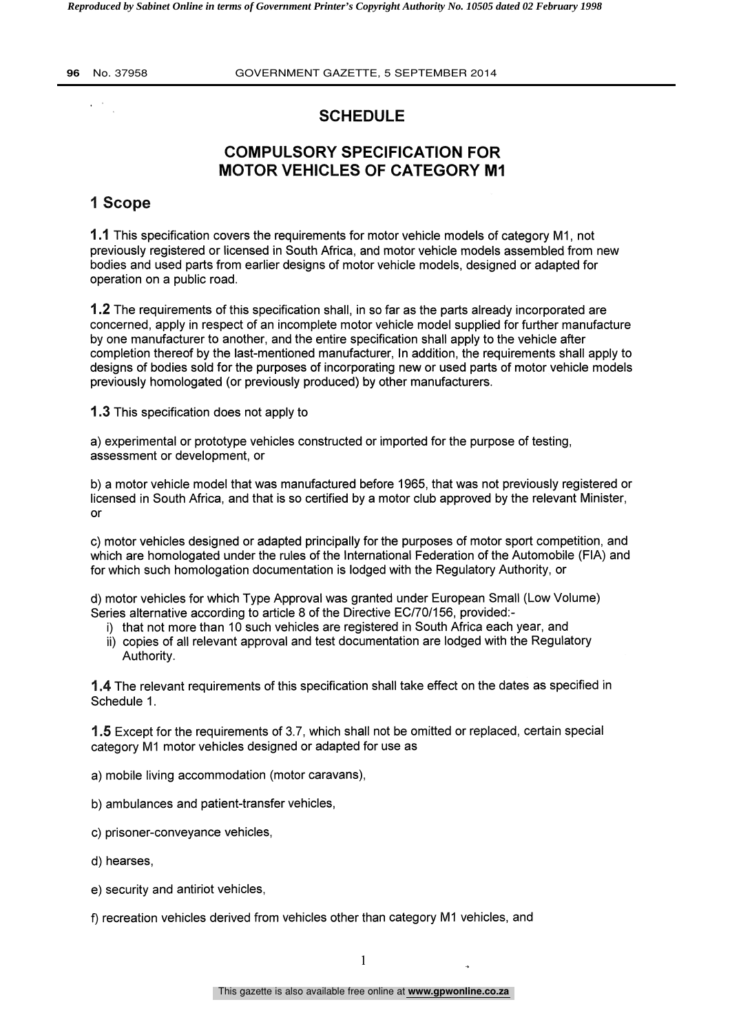$\sqrt{1-\delta}$ 

**96** No. 37958 GOVERNMENT GAZETTE, 5 SEPTEMBER 2014

# **SCHEDULE**

# COMPULSORY SPECIFICATION FOR MOTOR VEHICLES OF CATEGORY M1

# 1 Scope

1.1 This specification covers the requirements for motor vehicle models of category M1, not previously registered or licensed in South Africa, and motor vehicle models assembled from new bodies and used parts from earlier designs of motor vehicle models, designed or adapted for operation on a public road.

1.2 The requirements of this specification shall, in so far as the parts already incorporated are concerned, apply in respect of an incomplete motor vehicle model supplied for further manufacture by one manufacturer to another, and the entire specification shall apply to the vehicle after completion thereof by the last-mentioned manufacturer, In addition, the requirements shall apply to designs of bodies sold for the purposes of incorporating new or used parts of motor vehicle models previously homologated (or previously produced) by other manufacturers.

1.3 This specification does not apply to

a) experimental or prototype vehicles constructed or imported for the purpose of testing, assessment or development, or

b) a motor vehicle model that was manufactured before 1965, that was not previously registered or licensed in South Africa, and that is so certified by a motor club approved by the relevant Minister, or

c) motor vehicles designed or adapted principally for the purposes of motor sport competition, and which are homologated under the rules of the International Federation of the Automobile (FIA) and for which such homologation documentation is lodged with the Regulatory Authority, or

d) motor vehicles for which Type Approval was granted under European Small (Low Volume) Series alternative according to article 8 of the Directive EC/70/156, provided:-

- i) that not more than 10 such vehicles are registered in South Africa each year, and
- ii) copies of all relevant approval and test documentation are lodged with the Regulatory Authority.

1.4 The relevant requirements of this specification shall take effect on the dates as specified in Schedule 1.

1.5 Except for the requirements of 3.7, which shall not be omitted or replaced, certain special category M1 motor vehicles designed or adapted for use as

- a) mobile living accommodation (motor caravans),
- b) ambulances and patient-transfer vehicles,
- c) prisoner-conveyance vehicles,
- d) hearses,
- e) security and antiriot vehicles,

f) recreation vehicles derived from vehicles other than category M1 vehicles, and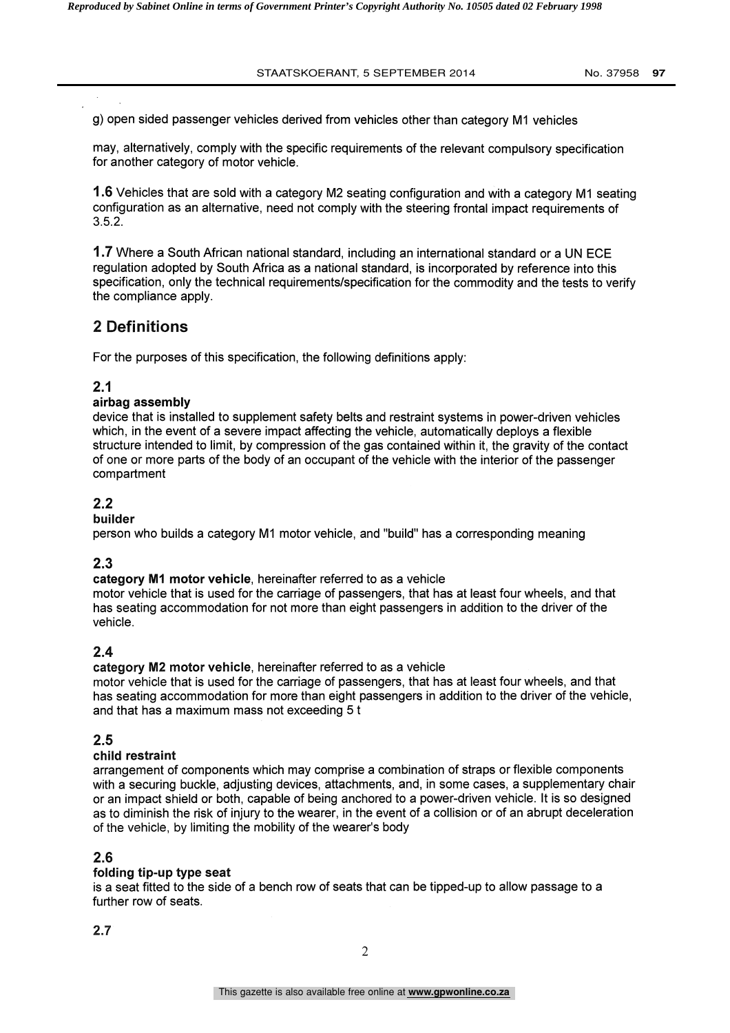g) open sided passenger vehicles derived from vehicles other than category M1 vehicles

may, alternatively, comply with the specific requirements of the relevant compulsory specification for another category of motor vehicle.

1 .6 Vehicles that are sold with a category M2 seating configuration and with a category M1 seating configuration as an alternative, need not comply with the steering frontal impact requirements of 3.5.2.

1.7 Where a South African national standard, including an international standard or a UN ECE regulation adopted by South Africa as a national standard, is incorporated by reference into this specification, only the technical requirements/specification for the commodity and the tests to verify the compliance apply.

# 2 Definitions

For the purposes of this specification, the following definitions apply:

## 2.1

### airbag assembly

device that is installed to supplement safety belts and restraint systems in power-driven vehicles which, in the event of a severe impact affecting the vehicle, automatically deploys a flexible structure intended to limit, by compression of the gas contained within it, the gravity of the contact of one or more parts of the body of an occupant of the vehicle with the interior of the passenger compartment

## 2.2

## builder

person who builds a category M1 motor vehicle, and "build" has a corresponding meaning

# 2.3

### category M1 motor vehicle, hereinafter referred to as a vehicle

motor vehicle that is used for the carriage of passengers, that has at least four wheels, and that has seating accommodation for not more than eight passengers in addition to the driver of the vehicle.

## 2.4

### category M2 motor vehicle, hereinafter referred to as a vehicle

motor vehicle that is used for the carriage of passengers, that has at least four wheels, and that has seating accommodation for more than eight passengers in addition to the driver of the vehicle, and that has a maximum mass not exceeding 5 t

## 2.5

### child restraint

arrangement of components which may comprise a combination of straps or flexible components with a securing buckle, adjusting devices, attachments, and, in some cases, a supplementary chair or an impact shield or both, capable of being anchored to a power-driven vehicle. It is so designed as to diminish the risk of injury to the wearer, in the event of a collision or of an abrupt deceleration of the vehicle, by limiting the mobility of the wearer's body

## 2.6

### folding tip-up type seat

is a seat fitted to the side of a bench row of seats that can be tipped-up to allow passage to a further row of seats.

2.7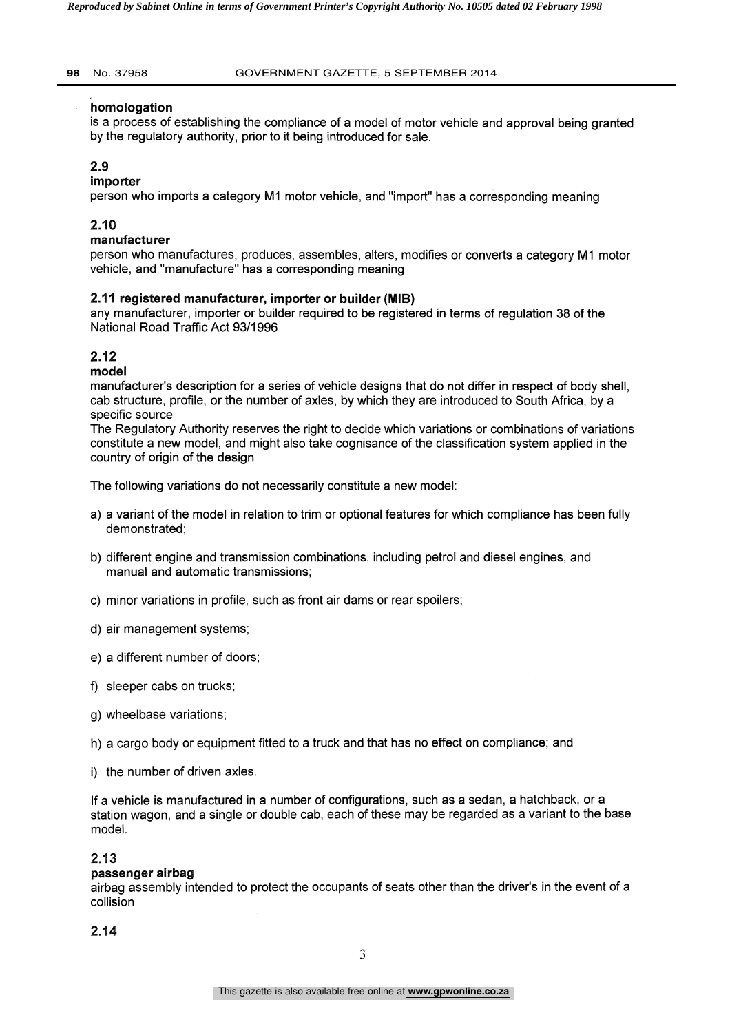### homologation

is a process of establishing the compliance of a model of motor vehicle and approval being granted by the regulatory authority, prior to it being introduced for sale.

## 2.9

#### importer

person who imports a category M1 motor vehicle, and "import" has a corresponding meaning

## 2.10

#### manufacturer

person who manufactures, produces, assembles, alters, modifies or converts a category M1 motor vehicle, and "manufacture" has a corresponding meaning

#### 2.11 registered manufacturer, importer or builder (MIB)

any manufacturer, importer or builder required to be registered in terms of regulation 38 of the National Road Traffic Act 93/1996

## 2.12

model

manufacturer's description for a series of vehicle designs that do not differ in respect of body shell, cab structure, profile, or the number of axles, by which they are introduced to South Africa, by a specific source

The Regulatory Authority reserves the right to decide which variations or combinations of variations constitute a new model, and might also take cognisance of the classification system applied in the country of origin of the design

The following variations do not necessarily constitute a new model:

- a) a variant of the model in relation to trim or optional features for which compliance has been fully demonstrated;
- b) different engine and transmission combinations, including petrol and diesel engines, and manual and automatic transmissions;
- c) minor variations in profile, such as front air dams or rear spoilers;
- d) air management systems;
- e) a different number of doors;
- f) sleeper cabs on trucks;
- g) wheelbase variations;
- h) a cargo body or equipment fitted to a truck and that has no effect on compliance; and
- i) the number of driven axles.

If a vehicle is manufactured in a number of configurations, such as a sedan, a hatchback, or a station wagon, and a single or double cab, each of these may be regarded as a variant to the base model.

### 2.13

#### passenger airbag

airbag assembly intended to protect the occupants of seats other than the driver's in the event of a collision

2.14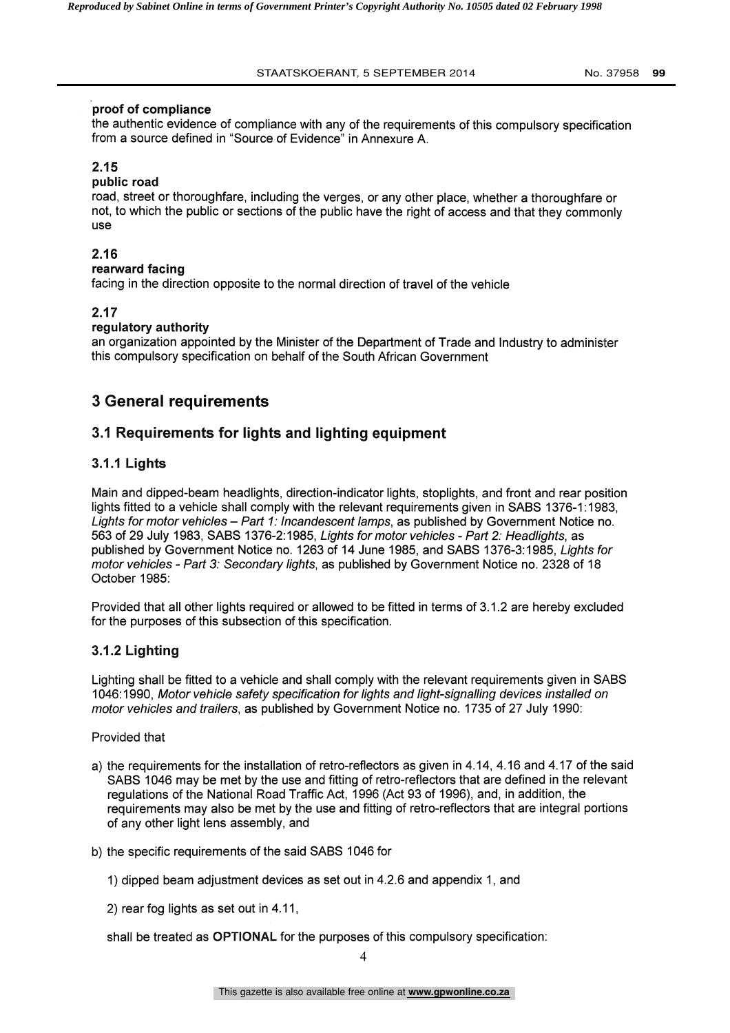## proof of compliance

the authentic evidence of compliance with any of the requirements of this compulsory specification from a source defined in "Source of Evidence" in Annexure A.

## 2.15

## public road

road, street or thoroughfare, including the verges, or any other place, whether a thoroughfare or not, to which the public or sections of the public have the right of access and that they commonly use

## 2.16

### rearward facing

facing in the direction opposite to the normal direction of travel of the vehicle

## 2.17

### regulatory authority

an organization appointed by the Minister of the Department of Trade and Industry to administer this compulsory specification on behalf of the South African Government

# 3 General requirements

## 3.1 Requirements for lights and lighting equipment

## 3.1.1 Lights

Main and dipped-beam headlights, direction-indicator lights, stoplights, and front and rear position lights fitted to a vehicle shall comply with the relevant requirements given in SABS 1376-1:1983, Lights for motor vehicles - Part 1: Incandescent lamps, as published by Government Notice no. 563 of 29 July 1983, SABS 1376-2:1985, Lights for motor vehicles - Part 2: Headlights, as published by Government Notice no. 1263 of 14 June 1985, and SABS 1376-3:1985, Lights for motor vehicles - Part 3: Secondary lights, as published by Government Notice no. 2328 of 18 October 1985:

Provided that all other lights required or allowed to be fitted in terms of 3.1.2 are hereby excluded for the purposes of this subsection of this specification.

## 3.1.2 Lighting

Lighting shall be fitted to a vehicle and shall comply with the relevant requirements given in SABS 1046:1990, Motor vehicle safety specification for lights and light-signalling devices installed on motor vehicles and trailers, as published by Government Notice no. 1735 of 27 July 1990:

Provided that

- a) the requirements for the installation of retro-reflectors as given in 4.14, 4.16 and 4.17 of the said SABS 1046 may be met by the use and fitting of retro-reflectors that are defined in the relevant regulations of the National Road Traffic Act, 1996 (Act 93 of 1996), and, in addition, the requirements may also be met by the use and fitting of retro-reflectors that are integral portions of any other light lens assembly, and
- b) the specific requirements of the said SABS 1046 for
	- 1) dipped beam adjustment devices as set out in 4.2.6 and appendix 1, and
	- 2) rear fog lights as set out in 4.11,

shall be treated as OPTIONAL for the purposes of this compulsory specification: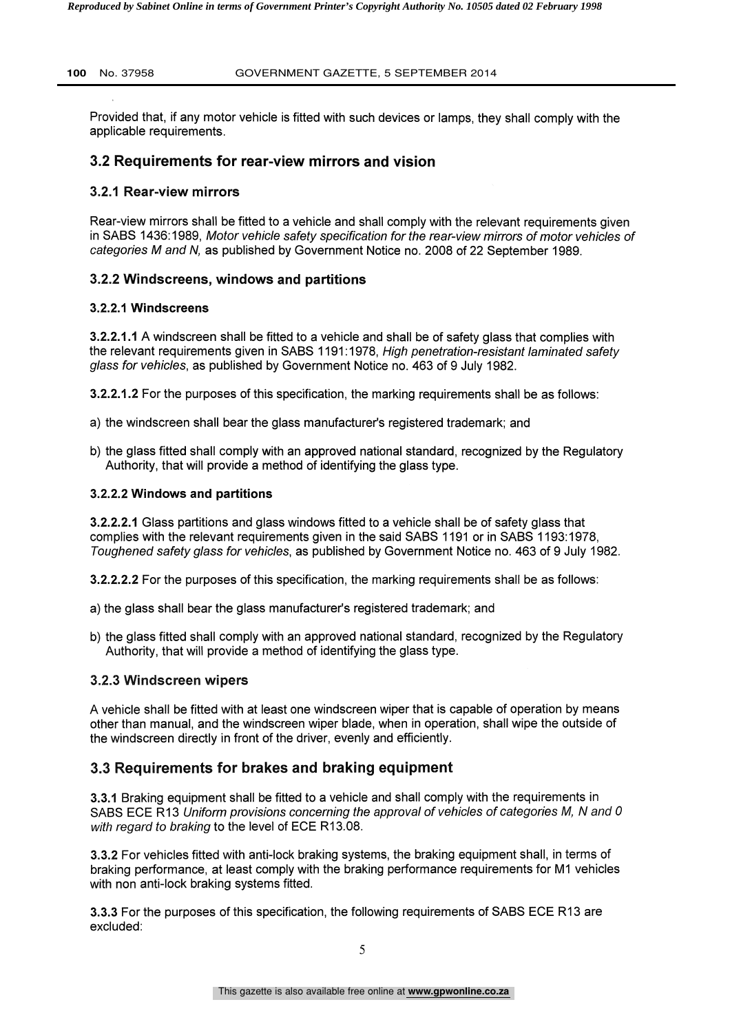Provided that, if any motor vehicle is fitted with such devices or lamps, they shall comply with the applicable requirements.

#### 3.2 Requirements for rear-view mirrors and vision

#### 3.2.1 Rear-view mirrors

Rear-view mirrors shall be fitted to a vehicle and shall comply with the relevant requirements given in SABS 1436:1989, Motor vehicle safety specification for the rear-view mirrors of motor vehicles of categories M and N, as published by Government Notice no. 2008 of 22 September 1989.

#### 3.2.2 Windscreens, windows and partitions

#### 3.2.2.1 Windscreens

3.2.2.1.1 A windscreen shall be fitted to a vehicle and shall be of safety glass that complies with the relevant requirements given in SABS 1191:1978, High penetration-resistant laminated safety glass for vehicles, as published by Government Notice no. 463 of 9 July 1982.

3.2.2.1.2 For the purposes of this specification, the marking requirements shall be as follows:

- a) the windscreen shall bear the glass manufacturer's registered trademark; and
- b) the glass fitted shall comply with an approved national standard, recognized by the Regulatory Authority, that will provide a method of identifying the glass type.

#### 3.2.2.2 Windows and partitions

3.2.2.2.1 Glass partitions and glass windows fitted to a vehicle shall be of safety glass that complies with the relevant requirements given in the said SABS 1191 or in SABS 1193:1978, Toughened safety glass for vehicles, as published by Government Notice no. 463 of 9 July 1982.

3.2.2.2.2 For the purposes of this specification, the marking requirements shall be as follows:

a) the glass shall bear the glass manufacturer's registered trademark; and

b) the glass fitted shall comply with an approved national standard, recognized by the Regulatory Authority, that will provide a method of identifying the glass type.

#### 3.2.3 Windscreen wipers

A vehicle shall be fitted with at least one windscreen wiper that is capable of operation by means other than manual, and the windscreen wiper blade, when in operation, shall wipe the outside of the windscreen directly in front of the driver, evenly and efficiently.

### 3.3 Requirements for brakes and braking equipment

3.3.1 Braking equipment shall be fitted to a vehicle and shall comply with the requirements in SABS ECE R13 Uniform provisions concerning the approval of vehicles of categories M, N and 0 with regard to braking to the level of ECE R13.08.

3.3.2 For vehicles fitted with anti-lock braking systems, the braking equipment shall, in terms of braking performance, at least comply with the braking performance requirements for M1 vehicles with non anti-lock braking systems fitted.

3.3.3 For the purposes of this specification, the following requirements of SABS ECE R13 are excluded: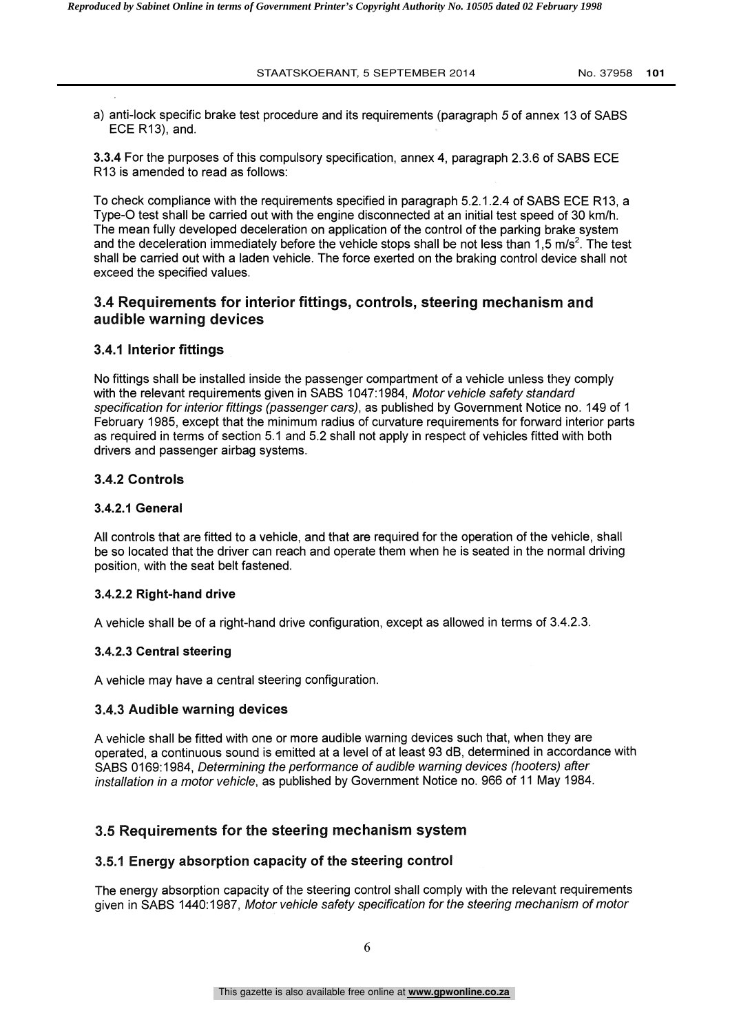a) anti-lock specific brake test procedure and its requirements (paragraph 5 of annex 13 of SABS ECE R13), and.

3.3.4 For the purposes of this compulsory specification, annex 4, paragraph 2.3.6 of SABS ECE R13 is amended to read as follows:

To check compliance with the requirements specified in paragraph 5.2.1.2.4 of SABS ECE R13, a Type-0 test shall be carried out with the engine disconnected at an initial test speed of 30 km/h. The mean fully developed deceleration on application of the control of the parking brake system and the deceleration immediately before the vehicle stops shall be not less than 1,5 m/s<sup>2</sup>. The test shall be carried out with a laden vehicle. The force exerted on the braking control device shall not exceed the specified values.

## 3.4 Requirements for interior fittings, controls, steering mechanism and audible warning devices

### 3.4.1 Interior fittings

No fittings shall be installed inside the passenger compartment of a vehicle unless they comply with the relevant requirements given in SABS 1047:1984, Motor vehicle safety standard specification for interior fittings (passenger cars), as published by Government Notice no. 149 of 1 February 1985, except that the minimum radius of curvature requirements for forward interior parts as required in terms of section 5.1 and 5.2 shall not apply in respect of vehicles fitted with both drivers and passenger airbag systems.

### 3.4.2 Controls

### 3.4.2.1 General

All controls that are fitted to a vehicle, and that are required for the operation of the vehicle, shall be so located that the driver can reach and operate them when he is seated in the normal driving position, with the seat belt fastened.

### 3.4.2.2 Right-hand drive

A vehicle shall be of a right-hand drive configuration, except as allowed in terms of 3.4.2.3.

### 3.4.2.3 Central steering

A vehicle may have a central steering configuration.

## 3.4.3 Audible warning devices

A vehicle shall be fitted with one or more audible warning devices such that, when they are operated, a continuous sound is emitted at a level of at least 93 dB, determined in accordance with SABS 0169:1984, Determining the performance of audible warning devices (hooters) after installation in a motor vehicle, as published by Government Notice no. 966 of 11 May 1984.

# 3.5 Requirements for the steering mechanism system

### 3.5.1 Energy absorption capacity of the steering control

The energy absorption capacity of the steering control shall comply with the relevant requirements given in SABS 1440:1987, Motor vehicle safety specification for the steering mechanism of motor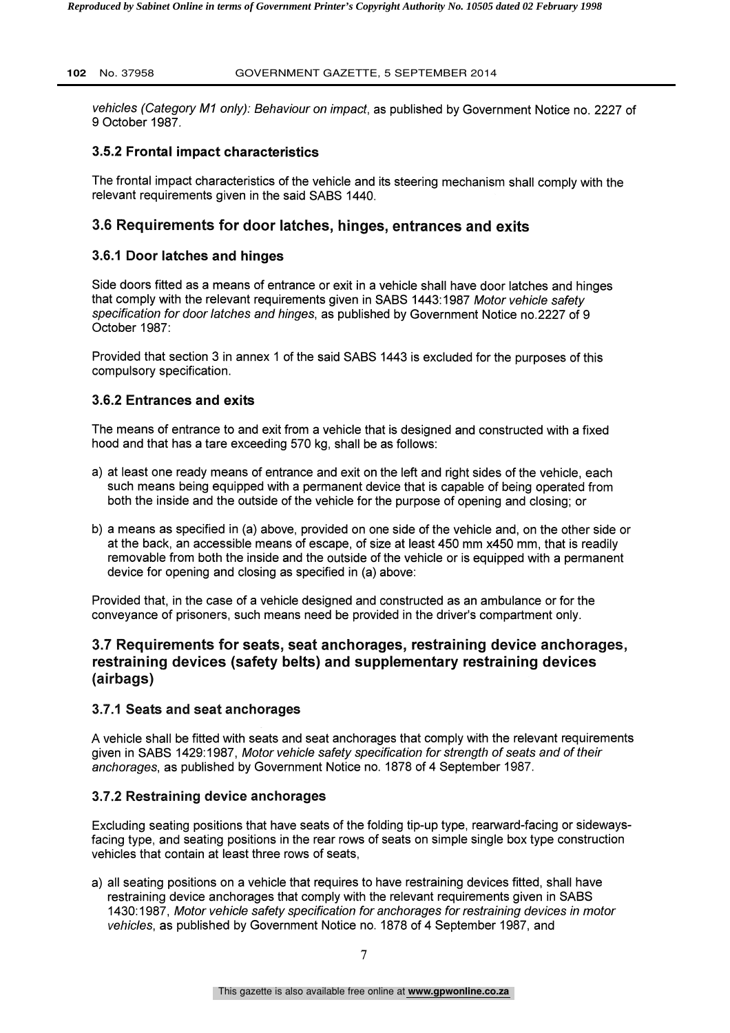vehicles (Category M1 only): Behaviour on impact, as published by Government Notice no. 2227 of 9 October 1987.

#### 3.5.2 Frontal impact characteristics

The frontal impact characteristics of the vehicle and its steering mechanism shall comply with the relevant requirements given in the said SABS 1440.

## 3.6 Requirements for door latches, hinges, entrances and exits

#### 3.6.1 Door latches and hinges

Side doors fitted as a means of entrance or exit in a vehicle shall have door latches and hinges that comply with the relevant requirements given in SABS 1443:1987 Motor vehicle safety specification for door latches and hinges, as published by Government Notice no.2227 of 9 October 1987:

Provided that section 3 in annex 1 of the said SABS 1443 is excluded for the purposes of this compulsory specification.

### 3.6.2 Entrances and exits

The means of entrance to and exit from a vehicle that is designed and constructed with a fixed hood and that has a tare exceeding 570 kg, shall be as follows:

- a) at least one ready means of entrance and exit on the left and right sides of the vehicle, each such means being equipped with a permanent device that is capable of being operated from both the inside and the outside of the vehicle for the purpose of opening and closing; or
- b) a means as specified in (a) above, provided on one side of the vehicle and, on the other side or at the back, an accessible means of escape, of size at least 450 mm x450 mm, that is readily removable from both the inside and the outside of the vehicle or is equipped with a permanent device for opening and closing as specified in (a) above:

Provided that, in the case of a vehicle designed and constructed as an ambulance or for the conveyance of prisoners, such means need be provided in the driver's compartment only.

## 3.7 Requirements for seats, seat anchorages, restraining device anchorages, restraining devices (safety belts) and supplementary restraining devices (airbags)

### 3.7.1 Seats and seat anchorages

A vehicle shall be fitted with seats and seat anchorages that comply with the relevant requirements given in SABS 1429:1987, Motor vehicle safety specification for strength of seats and of their anchorages, as published by Government Notice no. 1878 of 4 September 1987.

### 3.7.2 Restraining device anchorages

Excluding seating positions that have seats of the folding tip-up type, rearward-facing or sidewaysfacing type, and seating positions in the rear rows of seats on simple single box type construction vehicles that contain at least three rows of seats,

a) all seating positions on a vehicle that requires to have restraining devices fitted, shall have restraining device anchorages that comply with the relevant requirements given in SABS 1430:1987, Motor vehicle safety specification for anchorages for restraining devices in motor vehicles, as published by Government Notice no. 1878 of 4 September 1987, and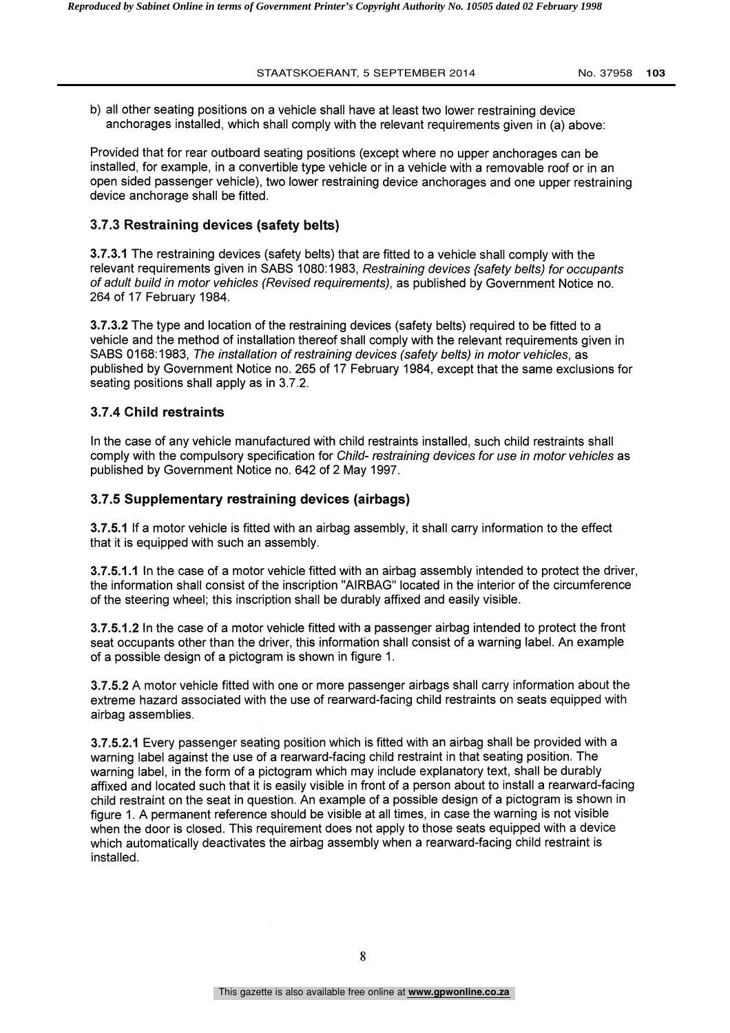b) all other seating positions on a vehicle shall have at least two lower restraining device anchorages installed, which shall comply with the relevant requirements given in (a) above:

Provided that for rear outboard seating positions (except where no upper anchorages can be installed, for example, in a convertible type vehicle or in a vehicle with a removable roof or in an open sided passenger vehicle), two lower restraining device anchorages and one upper restraining device anchorage shall be fitted.

#### 3.7.3 Restraining devices (safety belts)

3.7.3.1 The restraining devices (safety belts) that are fitted to a vehicle shall comply with the relevant requirements given in SABS 1080:1983, Restraining devices (safety belts) for occupants of adult build in motor vehicles (Revised requirements), as published by Government Notice no. 264 of 17 February 1984.

3.7.3.2 The type and location of the restraining devices (safety belts) required to be fitted to a vehicle and the method of installation thereof shall comply with the relevant requirements given in SABS 0168:1983, The installation of restraining devices (safety belts) in motor vehicles, as published by Government Notice no. 265 of 17 February 1984, except that the same exclusions for seating positions shall apply as in 3.7.2.

#### 3.7.4 Child restraints

In the case of any vehicle manufactured with child restraints installed, such child restraints shall comply with the compulsory specification for Child- restraining devices for use in motor vehicles as published by Government Notice no. 642 of 2 May 1997.

#### 3.7.5 Supplementary restraining devices (airbags)

3.7.5.1 If a motor vehicle is fitted with an airbag assembly, it shall carry information to the effect that it is equipped with such an assembly.

3.7.5.1.1 In the case of a motor vehicle fitted with an airbag assembly intended to protect the driver, the information shall consist of the inscription "AIRBAG" located in the interior of the circumference of the steering wheel; this inscription shall be durably affixed and easily visible.

3.7.5.1.2 In the case of a motor vehicle fitted with a passenger airbag intended to protect the front seat occupants other than the driver, this information shall consist of a warning label. An example of a possible design of a pictogram is shown in figure 1.

3.7.5.2 A motor vehicle fitted with one or more passenger airbags shall carry information about the extreme hazard associated with the use of rearward-facing child restraints on seats equipped with airbag assemblies.

3.7.5.2.1 Every passenger seating position which is fitted with an airbag shall be provided with a warning label against the use of a rearward-facing child restraint in that seating position. The warning label, in the form of a pictogram which may include explanatory text, shall be durably affixed and located such that it is easily visible in front of a person about to install a rearward-facing child restraint on the seat in question. An example of a possible design of a pictogram is shown in figure 1. A permanent reference should be visible at all times, in case the warning is not visible when the door is closed. This requirement does not apply to those seats equipped with a device which automatically deactivates the airbag assembly when a rearward-facing child restraint is installed.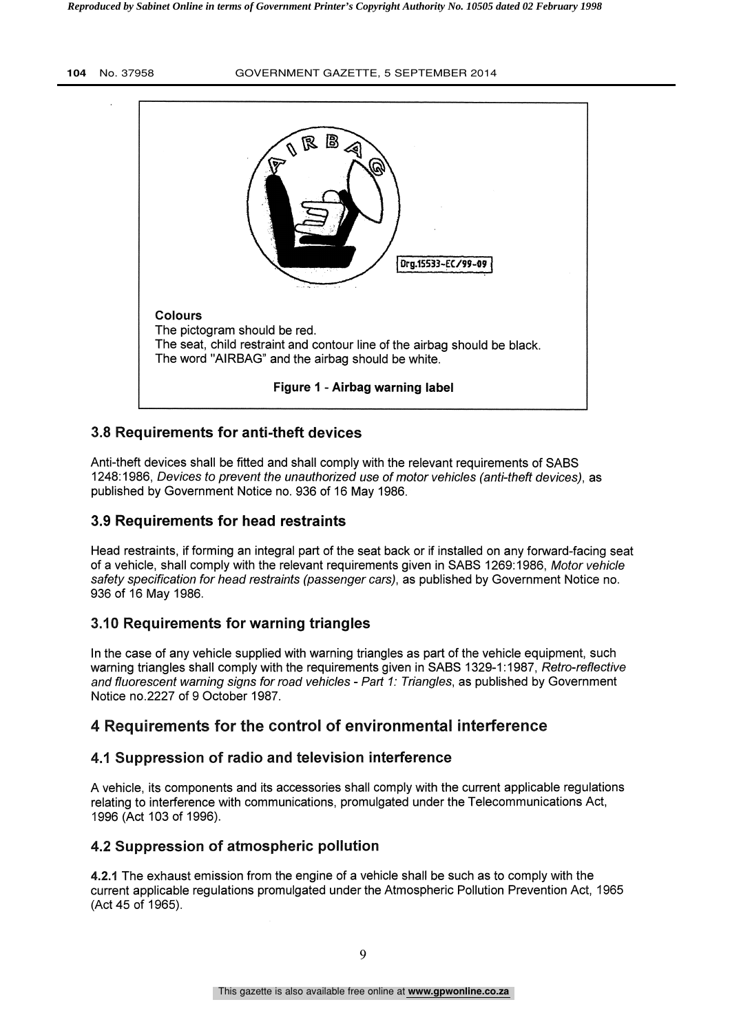

## 3.8 Requirements for anti-theft devices

Anti-theft devices shall be fitted and shall comply with the relevant requirements of SABS 1248:1986, Devices to prevent the unauthorized use of motor vehicles (anti-theft devices), as published by Government Notice no. 936 of 16 May 1986.

## 3.9 Requirements for head restraints

Head restraints, if forming an integral part of the seat back or if installed on any forward-facing seat of a vehicle, shall comply with the relevant requirements given in SABS 1269:1986, Motor vehicle safety specification for head restraints (passenger cars), as published by Government Notice no. 936 of 16 May 1986.

## 3.10 Requirements for warning triangles

In the case of any vehicle supplied with warning triangles as part of the vehicle equipment, such warning triangles shall comply with the requirements given in SABS 1329-1:1987, Retro-reflective and fluorescent warning signs for road vehicles - Part 1: Triangles, as published by Government Notice no.2227 of 9 October 1987.

# 4 Requirements for the control of environmental interference

## 4.1 Suppression of radio and television interference

A vehicle, its components and its accessories shall comply with the current applicable regulations relating to interference with communications, promulgated under the Telecommunications Act, 1996 (Act 103 of 1996).

## 4.2 Suppression of atmospheric pollution

4.2.1 The exhaust emission from the engine of a vehicle shall be such as to comply with the current applicable regulations promulgated under the Atmospheric Pollution Prevention Act, 1965 (Act 45 of 1965).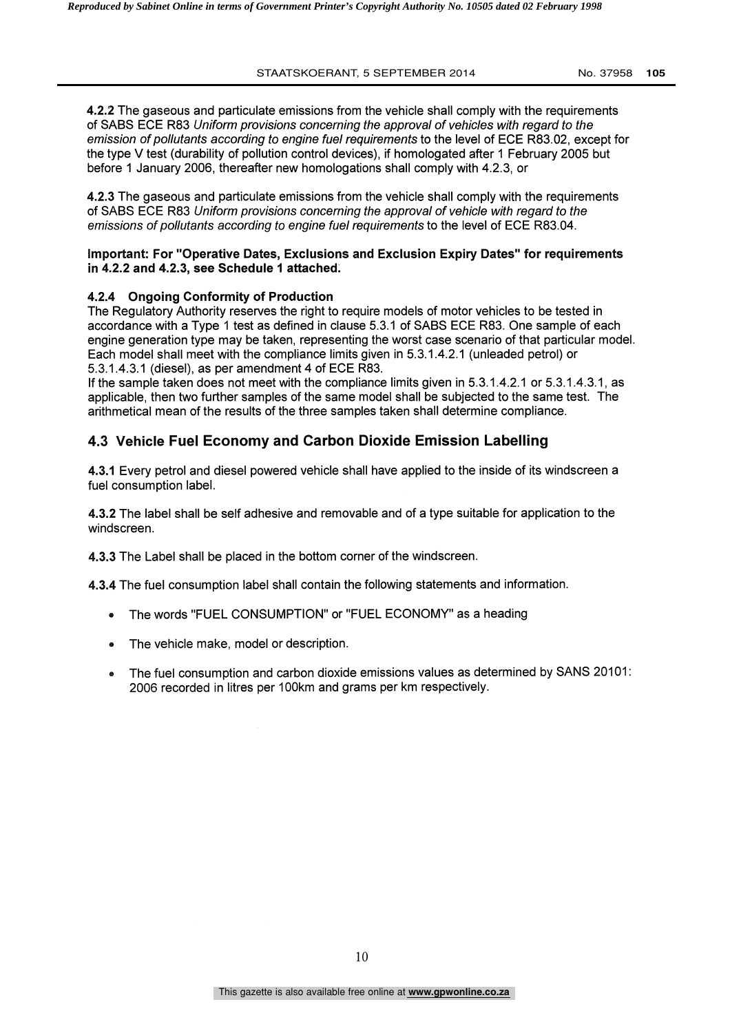4.2.2 The gaseous and particulate emissions from the vehicle shall comply with the requirements of SABS ECE R83 Uniform provisions concerning the approval of vehicles with regard to the emission of pollutants according to engine fuel requirements to the level of ECE R83.02, except for the type V test (durability of pollution control devices), if homologated after 1 February 2005 but before 1 January 2006, thereafter new homologations shall comply with 4.2.3, or

4.2.3 The gaseous and particulate emissions from the vehicle shall comply with the requirements of SABS ECE R83 Uniform provisions concerning the approval of vehicle with regard to the emissions of pollutants according to engine fuel requirements to the level of ECE R83.04.

#### Important: For "Operative Dates, Exclusions and Exclusion Expiry Dates" for requirements in 4.2.2 and 4.2.3, see Schedule 1 attached.

#### 4.2.4 Ongoing Conformity of Production

The Regulatory Authority reserves the right to require models of motor vehicles to be tested in accordance with a Type 1 test as defined in clause 5.3.1 of SABS ECE R83. One sample of each engine generation type may be taken, representing the worst case scenario of that particular model. Each model shall meet with the compliance limits given in 5.3.1.4.2.1 (unleaded petrol) or 5.3.1.4.3.1 (diesel), as per amendment 4 of ECE R83.

If the sample taken does not meet with the compliance limits given in 5.3.1.4.2.1 or 5.3.1.4.3.1, as applicable, then two further samples of the same model shall be subjected to the same test. The arithmetical mean of the results of the three samples taken shall determine compliance.

## 4.3 Vehicle Fuel Economy and Carbon Dioxide Emission Labelling

4.3.1 Every petrol and diesel powered vehicle shall have applied to the inside of its windscreen a fuel consumption label.

4.3.2 The label shall be self adhesive and removable and of a type suitable for application to the windscreen.

4.3.3 The Label shall be placed in the bottom corner of the windscreen.

4.3.4 The fuel consumption label shall contain the following statements and information.

- The words "FUEL CONSUMPTION" or "FUEL ECONOMY" as a heading  $\bullet$
- The vehicle make, model or description.
- The fuel consumption and carbon dioxide emissions values as determined by SANS 20101:  $\bullet$ 2006 recorded in litres per 100km and grams per km respectively.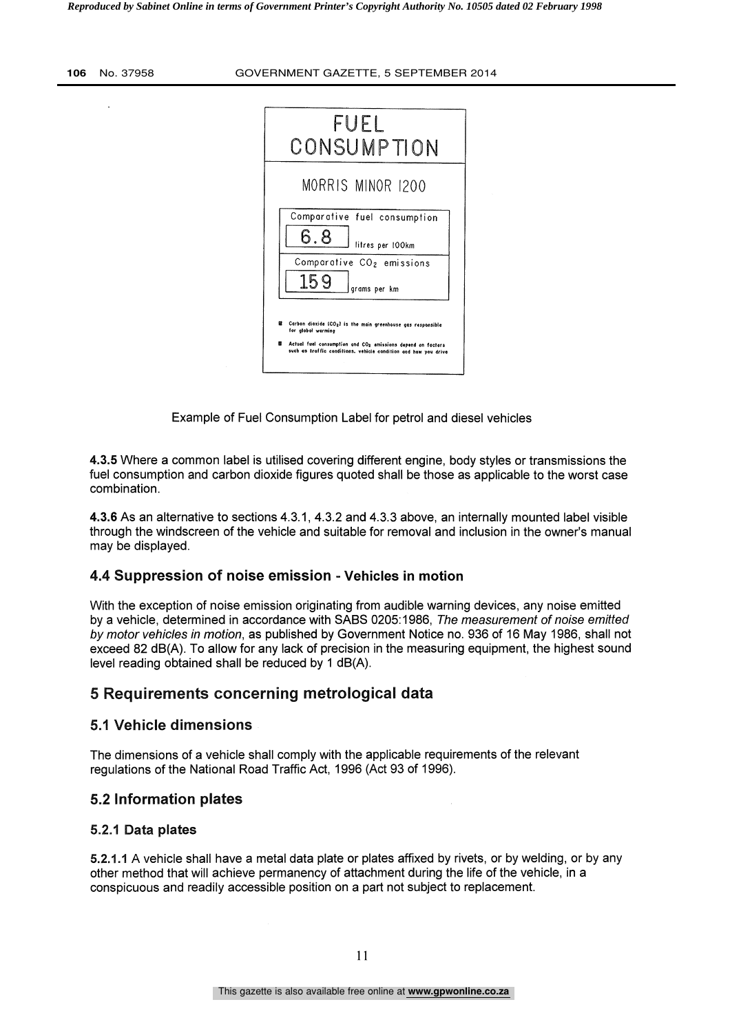| FUEL<br>CONSUMPTION                                                                                                                                                                                                                       |  |
|-------------------------------------------------------------------------------------------------------------------------------------------------------------------------------------------------------------------------------------------|--|
| MORRIS MINOR 1200                                                                                                                                                                                                                         |  |
| Comparative fuel consumption<br>6.8<br>litres per 100km                                                                                                                                                                                   |  |
| Comparative CO <sub>2</sub> emissions<br>159<br>grams per km                                                                                                                                                                              |  |
| ø<br>Carbon dioxide (CO2) is the main greenhouse gas responsible<br>for global warming<br>窩<br>Actual fuel consumption and CO <sub>2</sub> emissions depend on factors<br>such as traffic conditions, vehicle condition and how you drive |  |

Example of Fuel Consumption Label for petrol and diesel vehicles

4.3.5 Where a common label is utilised covering different engine, body styles or transmissions the fuel consumption and carbon dioxide figures quoted shall be those as applicable to the worst case combination.

4.3.6 As an alternative to sections 4.3.1, 4.3.2 and 4.3.3 above, an internally mounted label visible through the windscreen of the vehicle and suitable for removal and inclusion in the owner's manual may be displayed.

### 4.4 Suppression of noise emission - Vehicles in motion

With the exception of noise emission originating from audible warning devices, any noise emitted by a vehicle, determined in accordance with SABS 0205:1986, The measurement of noise emitted by motor vehicles in motion, as published by Government Notice no. 936 of 16 May 1986, shall not exceed 82 dB(A). To allow for any lack of precision in the measuring equipment, the highest sound level reading obtained shall be reduced by 1 dB(A).

## 5 Requirements concerning metrological data

## 5.1 Vehicle dimensions

The dimensions of a vehicle shall comply with the applicable requirements of the relevant regulations of the National Road Traffic Act, 1996 (Act 93 of 1996).

### 5.2 Information plates

#### 5.2.1 Data plates

5.2.1.1 A vehicle shall have a metal data plate or plates affixed by rivets, or by welding, or by any other method that will achieve permanency of attachment during the life of the vehicle, in a conspicuous and readily accessible position on a part not subject to replacement.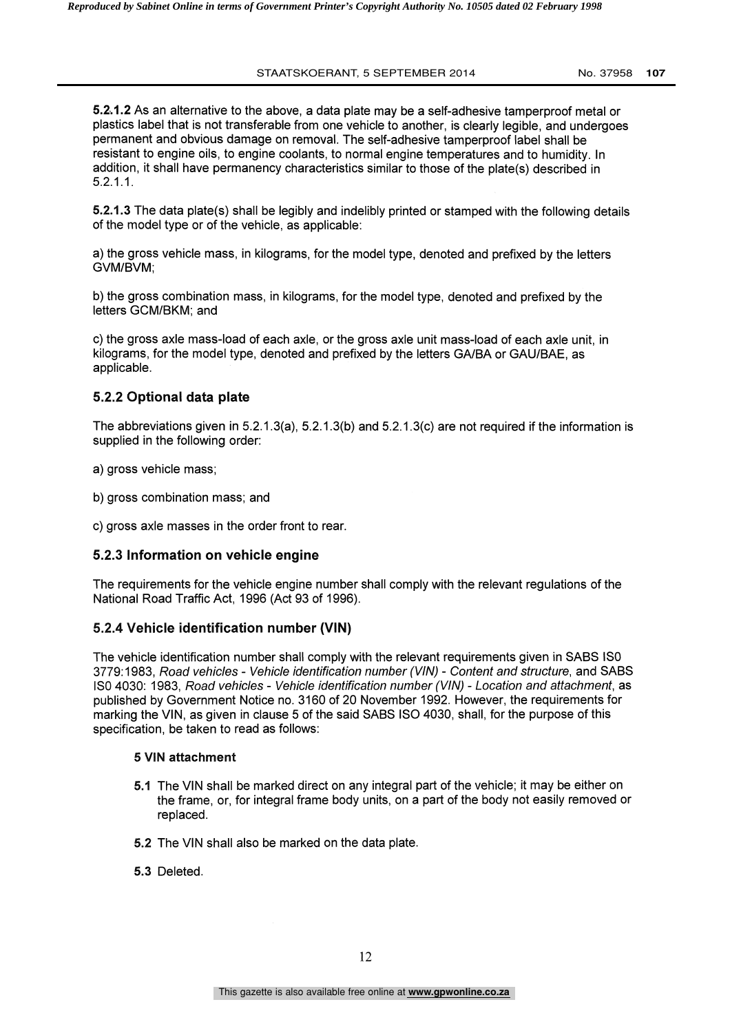5.21.2 As an alternative to the above, a data plate may be a self-adhesive tamperproof metal or plastics label that is not transferable from one vehicle to another, is clearly legible, and undergoes permanent and obvious damage on removal. The self-adhesive tamperproof label shall be resistant to engine oils, to engine coolants, to normal engine temperatures and to humidity. In addition, it shall have permanency characteristics similar to those of the plate(s) described in 5.2.1.1.

5.2.1.3 The data plate(s) shall be legibly and indelibly printed or stamped with the following details of the model type or of the vehicle, as applicable:

a) the gross vehicle mass, in kilograms, for the model type, denoted and prefixed by the letters GVM/BVM;

b) the gross combination mass, in kilograms, for the model type, denoted and prefixed by the letters GCM/BKM; and

c) the gross axle mass-load of each axle, or the gross axle unit mass-load of each axle unit, in kilograms, for the model type, denoted and prefixed by the letters GA/BA or GAU/BAE, as applicable.

## 5.2.2 Optional data plate

The abbreviations given in 5.2.1.3(a), 5.2.1.3(b) and 5.2.1.3(c) are not required if the information is supplied in the following order:

a) gross vehicle mass;

b) gross combination mass; and

c) gross axle masses in the order front to rear.

#### 5.2.3 Information on vehicle engine

The requirements for the vehicle engine number shall comply with the relevant regulations of the National Road Traffic Act, 1996 (Act 93 of 1996).

### 5.2.4 Vehicle identification number (VIN)

The vehicle identification number shall comply with the relevant requirements given in SABS ISO 3779:1983, Road vehicles - Vehicle identification number (V/N) - Content and structure, and SABS ISO 4030: 1983, Road vehicles - Vehicle identification number (V/N) - Location and attachment, as published by Government Notice no. 3160 of 20 November 1992. However, the requirements for marking the VIN, as given in clause 5 of the said SABS ISO 4030, shall, for the purpose of this specification, be taken to read as follows:

#### 5 VIN attachment

- 5.1 The VIN shall be marked direct on any integral part of the vehicle; it may be either on the frame, or, for integral frame body units, on a part of the body not easily removed or replaced.
- 5.2 The VIN shall also be marked on the data plate.
- 5.3 Deleted.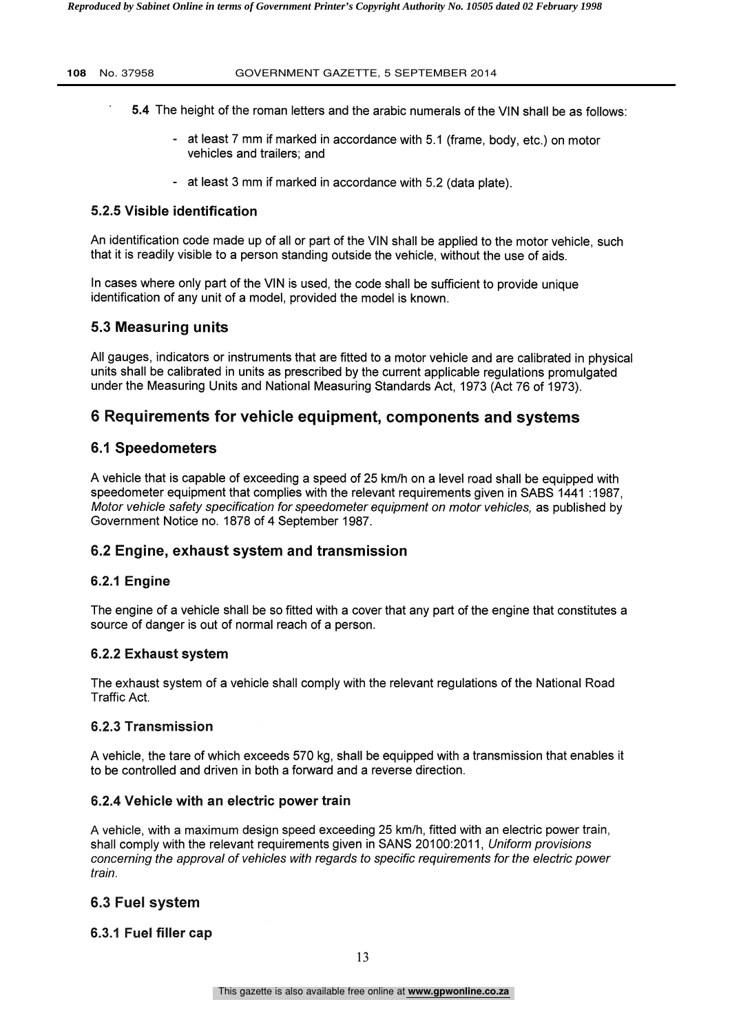- 5.4 The height of the roman letters and the arabic numerals of the VIN shall be as follows:
	- at least 7 mm if marked in accordance with 5.1 (frame, body, etc.) on motor vehicles and trailers; and
	- at least 3 mm if marked in accordance with 5.2 (data plate).

#### 5.2.5 Visible identification

An identification code made up of all or part of the VIN shall be applied to the motor vehicle, such that it is readily visible to a person standing outside the vehicle, without the use of aids.

In cases where only part of the VIN is used, the code shall be sufficient to provide unique identification of any unit of a model, provided the model is known.

## 5.3 Measuring units

All gauges, indicators or instruments that are fitted to a motor vehicle and are calibrated in physical units shall be calibrated in units as prescribed by the current applicable regulations promulgated under the Measuring Units and National Measuring Standards Act, 1973 (Act 76 of 1973).

## 6 Requirements for vehicle equipment, components and systems

### 6.1 Speedometers

A vehicle that is capable of exceeding a speed of 25 km/h on a level road shall be equipped with speedometer equipment that complies with the relevant requirements given in SABS 1441 :1987, Motor vehicle safety specification for speedometer equipment on motor vehicles, as published by Government Notice no. 1878 of 4 September 1987.

## 6.2 Engine, exhaust system and transmission

### 6.2.1 Engine

The engine of a vehicle shall be so fitted with a cover that any part of the engine that constitutes a source of danger is out of normal reach of a person.

### 6.2.2 Exhaust system

The exhaust system of a vehicle shall comply with the relevant regulations of the National Road Traffic Act.

#### 6.2.3 Transmission

A vehicle, the tare of which exceeds 570 kg, shall be equipped with a transmission that enables it to be controlled and driven in both a forward and a reverse direction.

### 6.2.4 Vehicle with an electric power train

A vehicle, with a maximum design speed exceeding 25 km/h, fitted with an electric power train, shall comply with the relevant requirements given in SANS 20100:2011, Uniform provisions concerning the approval of vehicles with regards to specific requirements for the electric power train.

### 6.3 Fuel system

### 6.3.1 Fuel filler cap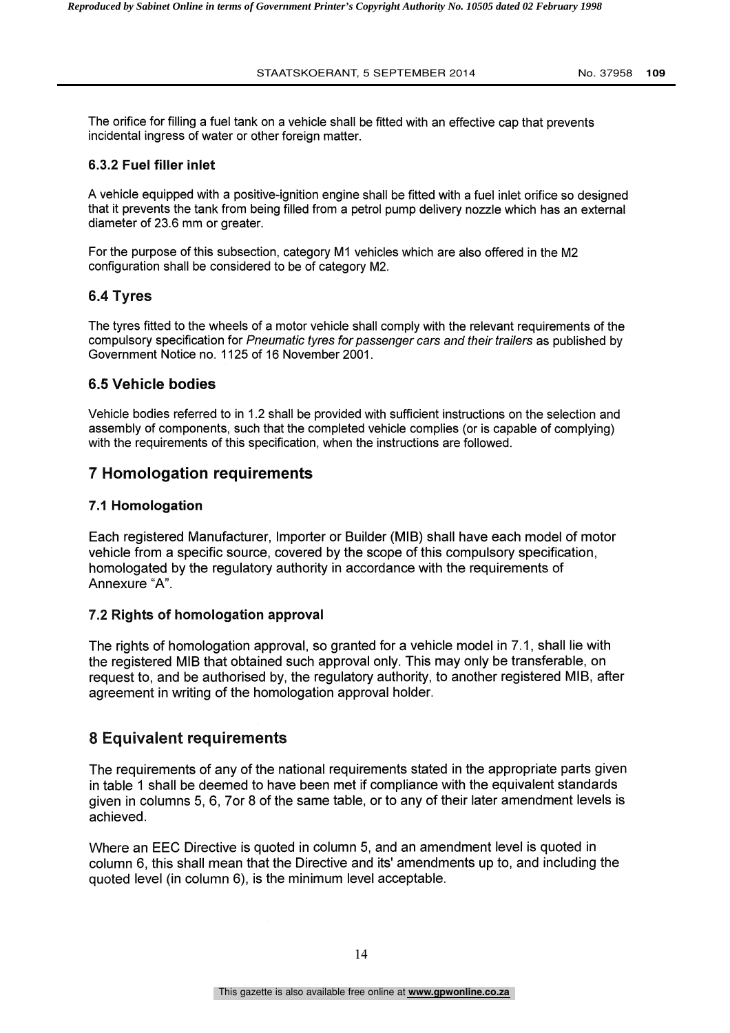The orifice for filling a fuel tank on a vehicle shall be fitted with an effective cap that prevents incidental ingress of water or other foreign matter.

## 6.3.2 Fuel filler inlet

A vehicle equipped with a positive-ignition engine shall be fitted with a fuel inlet orifice so designed that it prevents the tank from being filled from a petrol pump delivery nozzle which has an external diameter of 23.6 mm or greater.

For the purpose of this subsection, category M1 vehicles which are also offered in the M2 configuration shall be considered to be of category M2.

## 6.4 Tyres

The tyres fitted to the wheels of a motor vehicle shall comply with the relevant requirements of the compulsory specification for Pneumatic tyres for passenger cars and their trailers as published by Government Notice no. 1125 of 16 November 2001.

## 6.5 Vehicle bodies

Vehicle bodies referred to in 1.2 shall be provided with sufficient instructions on the selection and assembly of components, such that the completed vehicle complies (or is capable of complying) with the requirements of this specification, when the instructions are followed.

# 7 Homologation requirements

## 7.1 Homologation

Each registered Manufacturer, Importer or Builder (MIB) shall have each model of motor vehicle from a specific source, covered by the scope of this compulsory specification, homologated by the regulatory authority in accordance with the requirements of Annexure "A".

## 7.2 Rights of homologation approval

The rights of homologation approval, so granted for a vehicle model in 7.1, shall lie with the registered MIB that obtained such approval only. This may only be transferable, on request to, and be authorised by, the regulatory authority, to another registered MIB, after agreement in writing of the homologation approval holder.

# 8 Equivalent requirements

The requirements of any of the national requirements stated in the appropriate parts given in table 1 shall be deemed to have been met if compliance with the equivalent standards given in columns 5, 6, 7or 8 of the same table, or to any of their later amendment levels is achieved.

Where an EEC Directive is quoted in column 5, and an amendment level is quoted in column 6, this shall mean that the Directive and its' amendments up to, and including the quoted level (in column 6), is the minimum level acceptable.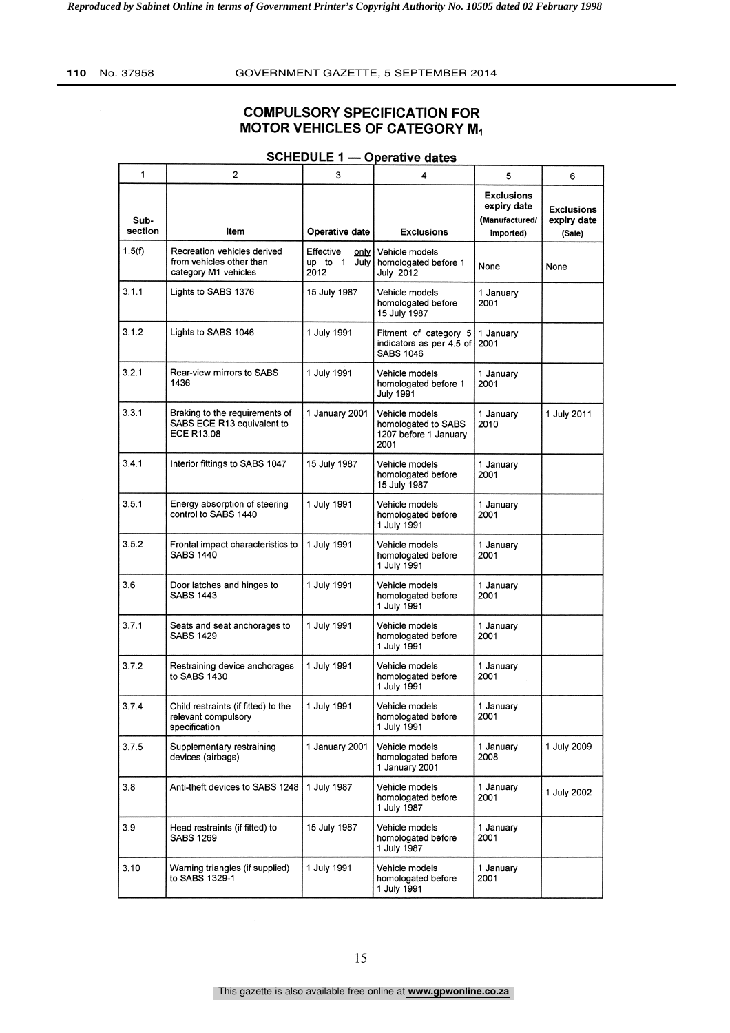## COMPULSORY SPECIFICATION FOR MOTOR VEHICLES OF CATEGORY M1

| 1               | 2                                                                                 | 3                                              | 4                                                                      | 5                                                               | 6                                          |
|-----------------|-----------------------------------------------------------------------------------|------------------------------------------------|------------------------------------------------------------------------|-----------------------------------------------------------------|--------------------------------------------|
| Sub-<br>section | Item                                                                              | <b>Operative date</b>                          | <b>Exclusions</b>                                                      | <b>Exclusions</b><br>expiry date<br>(Manufactured/<br>imported) | <b>Exclusions</b><br>expiry date<br>(Sale) |
| 1.5(f)          | Recreation vehicles derived<br>from vehicles other than<br>category M1 vehicles   | Effective<br>only  <br>up to 1<br>July<br>2012 | Vehicle models<br>homologated before 1<br><b>July 2012</b>             | None                                                            | None                                       |
| 3.1.1           | Lights to SABS 1376                                                               | 15 July 1987                                   | Vehicle models<br>homologated before<br>15 July 1987                   | 1 January<br>2001                                               |                                            |
| 3.1.2           | Lights to SABS 1046                                                               | 1 July 1991                                    | Fitment of category 5<br>indicators as per 4.5 of<br><b>SABS 1046</b>  | 1 January<br>2001                                               |                                            |
| 3.2.1           | Rear-view mirrors to SABS<br>1436                                                 | 1 July 1991                                    | Vehicle models<br>homologated before 1<br><b>July 1991</b>             | 1 January<br>2001                                               |                                            |
| 3.3.1           | Braking to the requirements of<br>SABS ECE R13 equivalent to<br><b>ECE R13.08</b> | 1 January 2001                                 | Vehicle models<br>homologated to SABS<br>1207 before 1 January<br>2001 | 1 January<br>2010                                               | 1 July 2011                                |
| 3.4.1           | Interior fittings to SABS 1047                                                    | 15 July 1987                                   | Vehicle models<br>homologated before<br>15 July 1987                   | 1 January<br>2001                                               |                                            |
| 3.5.1           | Energy absorption of steering<br>control to SABS 1440                             | 1 July 1991                                    | Vehicle models<br>homologated before<br>1 July 1991                    | 1 January<br>2001                                               |                                            |
| 3.5.2           | Frontal impact characteristics to<br><b>SABS 1440</b>                             | 1 July 1991                                    | Vehicle models<br>homologated before<br>1 July 1991                    | 1 January<br>2001                                               |                                            |
| 3.6             | Door latches and hinges to<br><b>SABS 1443</b>                                    | 1 July 1991                                    | Vehicle models<br>homologated before<br>1 July 1991                    | 1 January<br>2001                                               |                                            |
| 3.7.1           | Seats and seat anchorages to<br><b>SABS 1429</b>                                  | 1 July 1991                                    | Vehicle models<br>homologated before<br>1 July 1991                    | 1 January<br>2001                                               |                                            |
| 3.7.2           | Restraining device anchorages<br>to SABS 1430                                     | 1 July 1991                                    | Vehicle models<br>homologated before<br>1 July 1991                    | 1 January<br>2001                                               |                                            |
| 3.7.4           | Child restraints (if fitted) to the<br>relevant compulsory<br>specification       | 1 July 1991                                    | Vehicle models<br>homologated before<br>1 July 1991                    | 1 January<br>2001                                               |                                            |
| 3.7.5           | Supplementary restraining<br>devices (airbags)                                    | 1 January 2001                                 | Vehicle models<br>homologated before<br>1 January 2001                 | 1 January<br>2008                                               | 1 July 2009                                |
| 3.8             | Anti-theft devices to SABS 1248                                                   | 1 July 1987                                    | Vehicle models<br>homologated before<br>1 July 1987                    | 1 January<br>2001                                               | 1 July 2002                                |
| 3.9             | Head restraints (if fitted) to<br><b>SABS 1269</b>                                | 15 July 1987                                   | Vehicle models<br>homologated before<br>1 July 1987                    | 1 January<br>2001                                               |                                            |
| 3.10            | Warning triangles (if supplied)<br>to SABS 1329-1                                 | 1 July 1991                                    | Vehicle models<br>homologated before<br>1 July 1991                    | 1 January<br>2001                                               |                                            |

### SCHEDULE 1 - Operative dates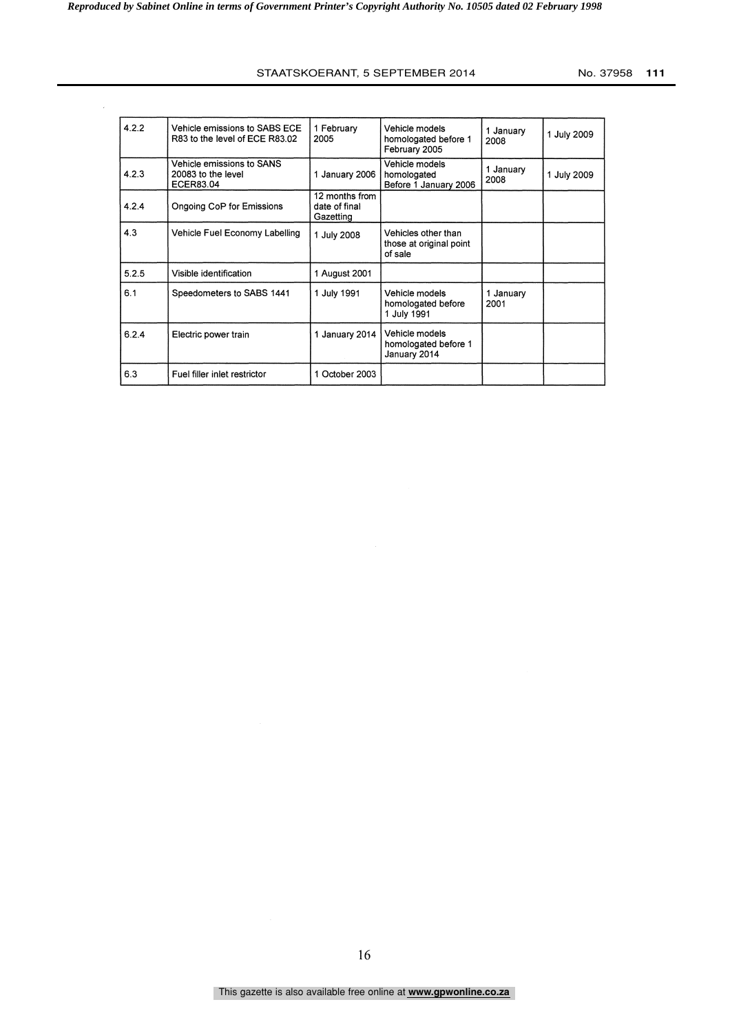| 4.2.2 | Vehicle emissions to SABS ECE<br>R83 to the level of ECE R83.02 | 1 February<br>2005                           | Vehicle models<br>homologated before 1<br>February 2005   | 1 January<br>2008 | 1 July 2009 |
|-------|-----------------------------------------------------------------|----------------------------------------------|-----------------------------------------------------------|-------------------|-------------|
| 4.2.3 | Vehicle emissions to SANS<br>20083 to the level<br>ECER83.04    | 1 January 2006                               | Vehicle models<br>homologated<br>Before 1 January 2006    | 1 January<br>2008 | 1 July 2009 |
| 4.2.4 | Ongoing CoP for Emissions                                       | 12 months from<br>date of final<br>Gazetting |                                                           |                   |             |
| 4.3   | Vehicle Fuel Economy Labelling                                  | 1 July 2008                                  | Vehicles other than<br>those at original point<br>of sale |                   |             |
| 5.2.5 | Visible identification                                          | 1 August 2001                                |                                                           |                   |             |
| 6.1   | Speedometers to SABS 1441                                       | 1 July 1991                                  | Vehicle models<br>homologated before<br>1 July 1991       | 1 January<br>2001 |             |
| 6.2.4 | Electric power train                                            | 1 January 2014                               | Vehicle models<br>homologated before 1<br>January 2014    |                   |             |
| 6.3   | Fuel filler inlet restrictor                                    | 1 October 2003                               |                                                           |                   |             |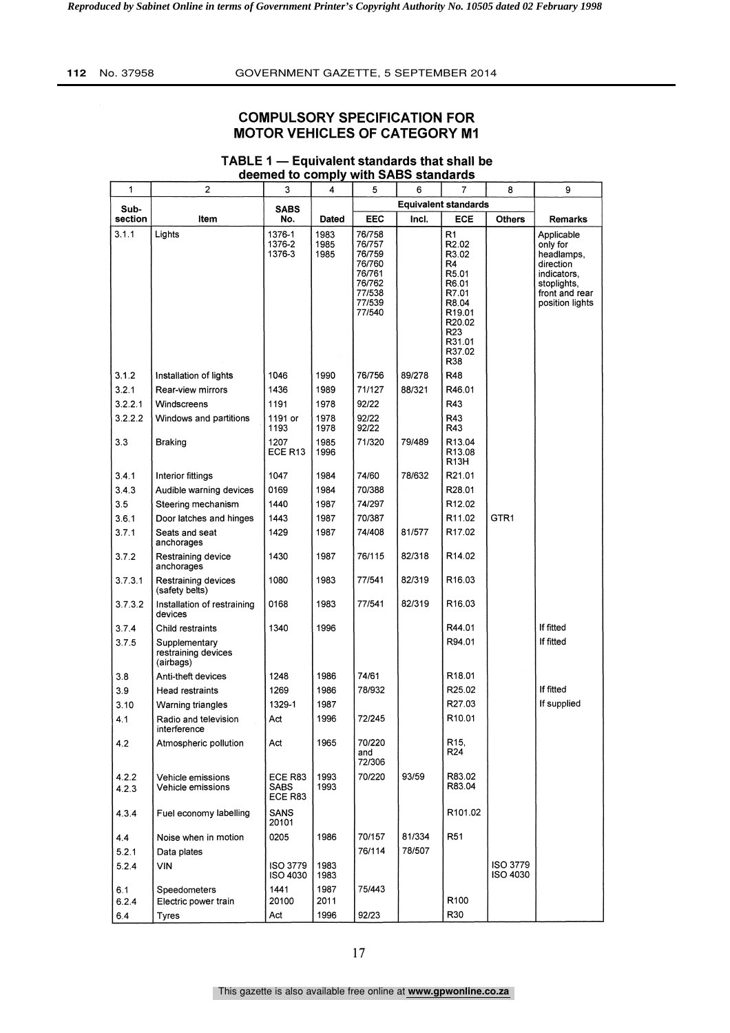## COMPULSORY SPECIFICATION FOR **MOTOR VEHICLES OF CATEGORY M1**

| 1               | 2                                                 | 3                          | 4                    | 5                                              | 6      | 7                                                                                                              | 8                    | 9                                                               |
|-----------------|---------------------------------------------------|----------------------------|----------------------|------------------------------------------------|--------|----------------------------------------------------------------------------------------------------------------|----------------------|-----------------------------------------------------------------|
|                 |                                                   |                            |                      |                                                |        | <b>Equivalent standards</b>                                                                                    |                      |                                                                 |
| Sub-<br>section | ltem                                              | SABS<br>No.                | Dated                | EEC                                            | Incl.  | <b>ECE</b>                                                                                                     | <b>Others</b>        | <b>Remarks</b>                                                  |
| 3.1.1           | Lights                                            | 1376-1<br>1376-2<br>1376-3 | 1983<br>1985<br>1985 | 76/758<br>76/757<br>76/759<br>76/760           |        | R1<br>R <sub>2.02</sub><br>R3.02<br>R4                                                                         |                      | Applicable<br>only for<br>headlamps,<br>direction               |
|                 |                                                   |                            |                      | 76/761<br>76/762<br>77/538<br>77/539<br>77/540 |        | R <sub>5.01</sub><br>R6.01<br>R7.01<br>R8.04<br>R <sub>19.01</sub><br>R20.02<br>R23<br>R31.01<br>R37.02<br>R38 |                      | indicators,<br>stoplights,<br>front and rear<br>position lights |
| 3.1.2           | Installation of lights                            | 1046                       | 1990                 | 76/756                                         | 89/278 | R48                                                                                                            |                      |                                                                 |
| 3.2.1           | Rear-view mirrors                                 | 1436                       | 1989                 | 71/127                                         | 88/321 | R46.01                                                                                                         |                      |                                                                 |
| 3.2.2.1         | Windscreens                                       | 1191                       | 1978                 | 92/22                                          |        | R43                                                                                                            |                      |                                                                 |
| 3.2.2.2         | Windows and partitions                            | 1191 or<br>1193            | 1978<br>1978         | 92/22<br>92/22                                 |        | R43<br>R43                                                                                                     |                      |                                                                 |
| 3.3             | <b>Braking</b>                                    | 1207<br>ECE R13            | 1985<br>1996         | 71/320                                         | 79/489 | R13.04<br>R13.08<br>R13H                                                                                       |                      |                                                                 |
| 3.4.1           | Interior fittings                                 | 1047                       | 1984                 | 74/60                                          | 78/632 | R21.01                                                                                                         |                      |                                                                 |
| 3.4.3           | Audible warning devices                           | 0169                       | 1984                 | 70/388                                         |        | R28.01                                                                                                         |                      |                                                                 |
| 3.5             | Steering mechanism                                | 1440                       | 1987                 | 74/297                                         |        | R12.02                                                                                                         |                      |                                                                 |
| 3.6.1           | Door latches and hinges                           | 1443                       | 1987                 | 70/387                                         |        | R11.02                                                                                                         | GTR <sub>1</sub>     |                                                                 |
| 3.7.1           | Seats and seat<br>anchorages                      | 1429                       | 1987                 | 74/408                                         | 81/577 | R17.02                                                                                                         |                      |                                                                 |
| 3.7.2           | Restraining device<br>anchorages                  | 1430                       | 1987                 | 76/115                                         | 82/318 | R <sub>14.02</sub>                                                                                             |                      |                                                                 |
| 3.7.3.1         | Restraining devices<br>(safety belts)             | 1080                       | 1983                 | 77/541                                         | 82/319 | R <sub>16.03</sub>                                                                                             |                      |                                                                 |
| 3.7.3.2         | Installation of restraining<br>devices            | 0168                       | 1983                 | 77/541                                         | 82/319 | R <sub>16.03</sub>                                                                                             |                      |                                                                 |
| 3.7.4           | Child restraints                                  | 1340                       | 1996                 |                                                |        | R44.01                                                                                                         |                      | If fitted                                                       |
| 3.7.5           | Supplementary<br>restraining devices<br>(airbags) |                            |                      |                                                |        | R94.01                                                                                                         |                      | If fitted                                                       |
| 3.8             | Anti-theft devices                                | 1248                       | 1986                 | 74/61                                          |        | R <sub>18.01</sub>                                                                                             |                      |                                                                 |
| 3.9             | Head restraints                                   | 1269                       | 1986                 | 78/932                                         |        | R25.02                                                                                                         |                      | If fitted                                                       |
| 3.10            | Warning triangles                                 | 1329-1                     | 1987                 |                                                |        | R27.03                                                                                                         |                      | If supplied                                                     |
| 4.1             | Radio and television<br>interference              | Act                        | 1996                 | 72/245                                         |        | R <sub>10.01</sub>                                                                                             |                      |                                                                 |
| 4.2             | Atmospheric pollution                             | Act                        | 1965                 | 70/220<br>and<br>72/306                        |        | R <sub>15</sub> ,<br>R24                                                                                       |                      |                                                                 |
| 4.2.2<br>4.2.3  | Vehicle emissions<br>Vehicle emissions            | ECE R83<br>SABS<br>ECE R83 | 1993<br>1993         | 70/220                                         | 93/59  | R83.02<br>R83.04                                                                                               |                      |                                                                 |
| 4.3.4           | Fuel economy labelling                            | SANS<br>20101              |                      |                                                |        | R101.02                                                                                                        |                      |                                                                 |
| 4.4             | Noise when in motion                              | 0205                       | 1986                 | 70/157                                         | 81/334 | R <sub>51</sub>                                                                                                |                      |                                                                 |
| 5.2.1           | Data plates                                       |                            |                      | 76/114                                         | 78/507 |                                                                                                                |                      |                                                                 |
| 5.2.4           | VIN                                               | ISO 3779<br>ISO 4030       | 1983<br>1983         |                                                |        |                                                                                                                | ISO 3779<br>ISO 4030 |                                                                 |
| 6.1             | Speedometers                                      | 1441                       | 1987                 | 75/443                                         |        |                                                                                                                |                      |                                                                 |
| 6.2.4           | Electric power train                              | 20100                      | 2011                 |                                                |        | R <sub>100</sub>                                                                                               |                      |                                                                 |
| 6.4             | Tyres                                             | Act                        | 1996                 | 92/23                                          |        | R30                                                                                                            |                      |                                                                 |

#### TABLE 1  $-$  Equivalent standards that shall be deemed to comply with SABS standards